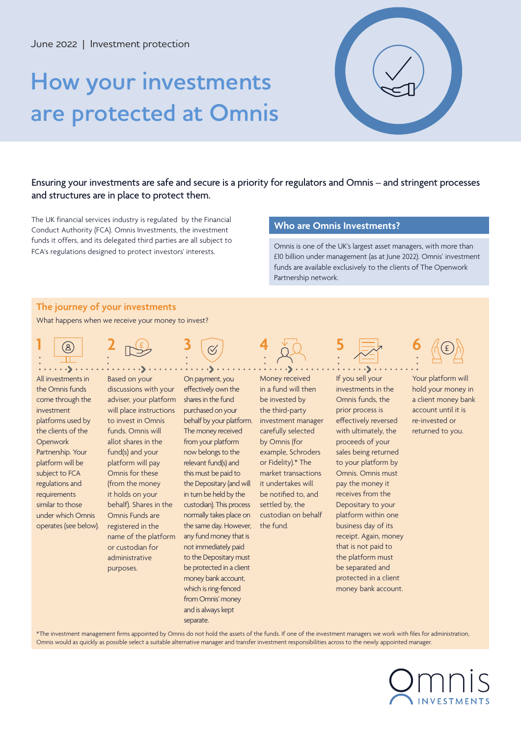# **How your investments are protected at Omnis**



# Ensuring your investments are safe and secure is a priority for regulators and Omnis – and stringent processes and structures are in place to protect them.

The UK financial services industry is regulated by the Financial **Societ Company in Line Company is a state Omnis Investments?**<br>Conduct Authority (FCA). Omnis Investments, the investment **Societ Company in Line Company is** funds it offers, and its delegated third parties are all subject to FCA's regulations designed to protect investors' interests.

Omnis is one of the UK's largest asset managers, with more than £10 billion under management (as at June 2022). Omnis' investment funds are available exclusively to the clients of The Openwork Partnership network.

# **The journey of your investments**

What happens when we receive your money to invest?

£

**1**  $\cdot$   $\cdot$ All investments in the Omnis funds

come through the investment platforms used by the clients of the **Openwork** Partnership. Your platform will be subject to FCA regulations and requirements similar to those

Based on your discussions with your adviser, your platform will place instructions to invest in Omnis funds. Omnis will allot shares in the fund(s) and your platform will pay Omnis for these (from the money it holds on your behalf). Shares in the Omnis Funds are registered in the name of the platform or custodian for administrative purposes. under which Omnis operates (see below).

On payment, you effectively own the shares in the fund purchased on your behalf by your platform. The money received from your platform now belongs to the relevant fund(s) and this must be paid to the Depositary (and will in turn be held by the custodian). This process normally takes place on the same day. However, any fund money that is not immediately paid to the Depositary must be protected in a client money bank account, which is ring-fenced from Omnis' money and is always kept

separate.



Money received in a fund will then be invested by the third-party investment manager carefully selected by Omnis (for example, Schroders or Fidelity).\* The market transactions it undertakes will be notified to, and settled by, the custodian on behalf the fund.

**2 5 5 6** *A* **6 6** 

If you sell your investments in the Omnis funds, the prior process is effectively reversed with ultimately, the proceeds of your sales being returned to your platform by Omnis. Omnis must pay the money it receives from the Depositary to your platform within one business day of its receipt. Again, money that is not paid to the platform must be separated and protected in a client money bank account.



Your platform will hold your money in a client money bank account until it is re-invested or returned to you.

\*The investment management firms appointed by Omnis do not hold the assets of the funds. If one of the investment managers we work with files for administration, Omnis would as quickly as possible select a suitable alternative manager and transfer investment responsibilities across to the newly appointed manager.